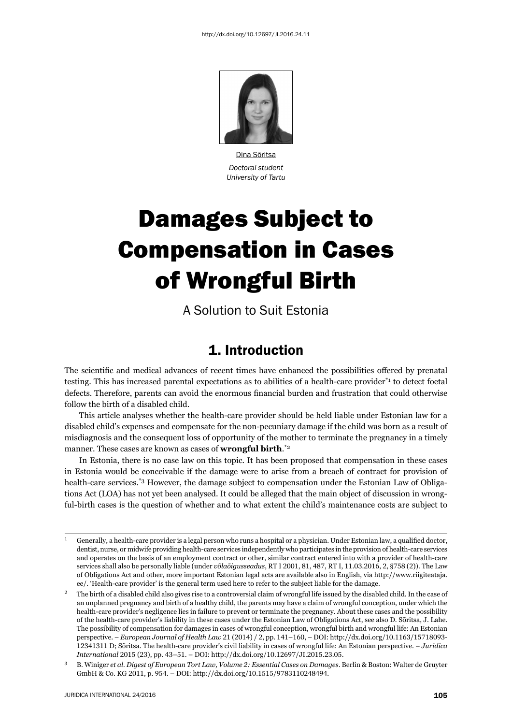

Dina Sõritsa *Doctoral student University of Tartu*

# Damages Subject to Compensation in Cases of Wrongful Birth

A Solution to Suit Estonia

## 1. Introduction

The scientific and medical advances of recent times have enhanced the possibilities offered by prenatal testing. This has increased parental expectations as to abilities of a health-care provider\*1 to detect foetal defects. Therefore, parents can avoid the enormous financial burden and frustration that could otherwise follow the birth of a disabled child.

This article analyses whether the health-care provider should be held liable under Estonian law for a disabled child's expenses and compensate for the non-pecuniary damage if the child was born as a result of misdiagnosis and the consequent loss of opportunity of the mother to terminate the pregnancy in a timely manner. These cases are known as cases of **wrongful birth**. \*2

In Estonia, there is no case law on this topic. It has been proposed that compensation in these cases in Estonia would be conceivable if the damage were to arise from a breach of contract for provision of health-care services.<sup>\*3</sup> However, the damage subject to compensation under the Estonian Law of Obligations Act (LOA) has not yet been analysed. It could be alleged that the main object of discussion in wrongful-birth cases is the question of whether and to what extent the child's maintenance costs are subject to

 $^1$  Generally, a health-care provider is a legal person who runs a hospital or a physician. Under Estonian law, a qualified doctor, dentist, nurse, or midwife providing health-care services independently who participates in the provision of health-care services and operates on the basis of an employment contract or other, similar contract entered into with a provider of health-care services shall also be personally liable (under *võlaõigusseadus*, RT I 2001, 81, 487, RT I, 11.03.2016, 2, §758 (2)). The Law of Obligations Act and other, more important Estonian legal acts are available also in English, via http://www.riigiteataja. ee/. 'Health-care provider' is the general term used here to refer to the subject liable for the damage.

<sup>&</sup>lt;sup>2</sup> The birth of a disabled child also gives rise to a controversial claim of wrongful life issued by the disabled child. In the case of an unplanned pregnancy and birth of a healthy child, the parents may have a claim of wrongful conception, under which the health-care provider's negligence lies in failure to prevent or terminate the pregnancy. About these cases and the possibility of the health-care provider's liability in these cases under the Estonian Law of Obligations Act, see also D. Sõritsa, J. Lahe. The possibility of compensation for damages in cases of wrongful conception, wrongful birth and wrongful life: An Estonian perspective. - *European Journal of Health Law* 21 (2014) / 2, pp. 141-160, - DOI: http://dx.doi.org/10.1163/15718093-12341311 D; Sõritsa. The health-care provider's civil liability in cases of wrongful life: An Estonian perspective. - *Juridica International* 2015 (23), pp. 43-51. – DOI: http://dx.doi.org/10.12697/JI.2015.23.05.

<sup>&</sup>lt;sup>3</sup> B. Winiger *et al. Digest of European Tort Law, Volume 2: Essential Cases on Damages. Berlin & Boston: Walter de Gruyter* GmbH & Co. KG 2011, p. 954. – DOI: http://dx.doi.org/10.1515/9783110248494.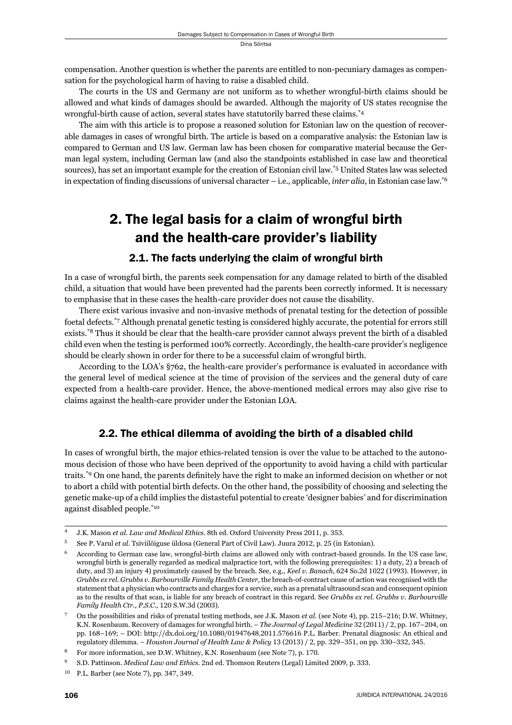compensation. Another question is whether the parents are entitled to non-pecuniary damages as compensation for the psychological harm of having to raise a disabled child.

The courts in the US and Germany are not uniform as to whether wrongful-birth claims should be allowed and what kinds of damages should be awarded. Although the majority of US states recognise the wrongful-birth cause of action, several states have statutorily barred these claims.\*4

The aim with this article is to propose a reasoned solution for Estonian law on the question of recoverable damages in cases of wrongful birth. The article is based on a comparative analysis: the Estonian law is compared to German and US law. German law has been chosen for comparative material because the German legal system, including German law (and also the standpoints established in case law and theoretical sources), has set an important example for the creation of Estonian civil law.\*5 United States law was selected in expectation of finding discussions of universal character – i.e., applicable, *inter alia*, in Estonian case law.<sup>\*6</sup>

# 2. The legal basis for a claim of wrongful birth and the health-care provider's liability

#### 2.1. The facts underlying the claim of wrongful birth

In a case of wrongful birth, the parents seek compensation for any damage related to birth of the disabled child, a situation that would have been prevented had the parents been correctly informed. It is necessary to emphasise that in these cases the health-care provider does not cause the disability.

There exist various invasive and non-invasive methods of prenatal testing for the detection of possible foetal defects.\*7 Although prenatal genetic testing is considered highly accurate, the potential for errors still exists.\*8 Thus it should be clear that the health-care provider cannot always prevent the birth of a disabled child even when the testing is performed 100% correctly. Accordingly, the health-care provider's negligence should be clearly shown in order for there to be a successful claim of wrongful birth.

According to the LOA's §762, the health-care provider's performance is evaluated in accordance with the general level of medical science at the time of provision of the services and the general duty of care expected from a health-care provider. Hence, the above-mentioned medical errors may also give rise to claims against the health-care provider under the Estonian LOA.

### 2.2. The ethical dilemma of avoiding the birth of a disabled child

In cases of wrongful birth, the major ethics-related tension is over the value to be attached to the autonomous decision of those who have been deprived of the opportunity to avoid having a child with particular traits.\*9 On one hand, the parents definitely have the right to make an informed decision on whether or not to abort a child with potential birth defects. On the other hand, the possibility of choosing and selecting the genetic make-up of a child implies the distasteful potential to create 'designer babies' and for discrimination against disabled people.\*10

J.K. Mason et al. *Law and Medical Ethics*. 8th ed. Oxford University Press 2011, p. 353.

<sup>&</sup>lt;sup>5</sup> See P. Varul *et al.* Tsiviilõiguse üldosa (General Part of Civil Law). Juura 2012, p. 25 (in Estonian).

<sup>ɷ</sup> According to German case law, wrongful-birth claims are allowed only with contract-based grounds. In the US case law, wrongful birth is generally regarded as medical malpractice tort, with the following prerequisites: 1) a duty, 2) a breach of duty, and 3) an injury 4) proximately caused by the breach. See, e.g., *Keel v. Banach*, 624 So.2d 1022 (1993). However, in *Grubbs ex rel. Grubbs v. Barbourville Family Health Center*, the breach-of-contract cause of action was recognised with the statement that a physician who contracts and charges for a service, such as a prenatal ultrasound scan and consequent opinion as to the results of that scan, is liable for any breach of contract in this regard. See *Grubbs ex rel. Grubbs v. Barbourville Family Health Ctr., P.S.C., 120 S.W.3d (2003).* 

On the possibilities and risks of prenatal testing methods, see J.K. Mason *et al.* (see Note 4), pp. 215–216; D.W. Whitney, K.N. Rosenbaum. Recovery of damages for wrongful birth. – *The Journal of Legal Medicine* 32 (2011) / 2, pp. 167-204, on pp.  $168-169$ ; – DOI: http://dx.doi.org/10.1080/01947648.2011.576616 P.L. Barber. Prenatal diagnosis: An ethical and regulatory dilemma. - *Houston Journal of Health Law & Policy* 13 (2013) / 2, pp. 329-351, on pp. 330-332, 345.

For more information, see D.W. Whitney, K.N. Rosenbaum (see Note 7), p. 170.

S.D. Pattinson. *Medical Law and Ethics*. 2nd ed. Thomson Reuters (Legal) Limited 2009, p. 333.

 $10$  P.L. Barber (see Note 7), pp. 347, 349.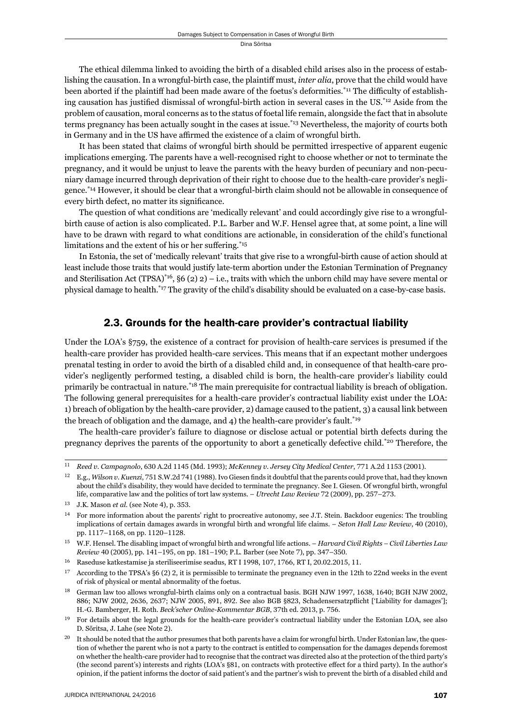The ethical dilemma linked to avoiding the birth of a disabled child arises also in the process of establishing the causation. In a wrongful-birth case, the plaintiff must, *inter alia*, prove that the child would have been aborted if the plaintiff had been made aware of the foetus's deformities.<sup>\*11</sup> The difficulty of establishing causation has justified dismissal of wrongful-birth action in several cases in the US.<sup>\*12</sup> Aside from the problem of causation, moral concerns as to the status of foetal life remain, alongside the fact that in absolute terms pregnancy has been actually sought in the cases at issue.\*13 Nevertheless, the majority of courts both in Germany and in the US have affirmed the existence of a claim of wrongful birth.

It has been stated that claims of wrongful birth should be permitted irrespective of apparent eugenic implications emerging. The parents have a well-recognised right to choose whether or not to terminate the pregnancy, and it would be unjust to leave the parents with the heavy burden of pecuniary and non-pecuniary damage incurred through deprivation of their right to choose due to the health-care provider's negligence.\*14 However, it should be clear that a wrongful-birth claim should not be allowable in consequence of every birth defect, no matter its significance.

The question of what conditions are 'medically relevant' and could accordingly give rise to a wrongfulbirth cause of action is also complicated. P.L. Barber and W.F. Hensel agree that, at some point, a line will have to be drawn with regard to what conditions are actionable, in consideration of the child's functional limitations and the extent of his or her suffering. $15$ 

In Estonia, the set of 'medically relevant' traits that give rise to a wrongful-birth cause of action should at least include those traits that would justify late-term abortion under the Estonian Termination of Pregnancy and Sterilisation Act (TPSA)\*16, §6 (2) 2) – i.e., traits with which the unborn child may have severe mental or physical damage to health.\*17 The gravity of the child's disability should be evaluated on a case-by-case basis.

## 2.3. Grounds for the health-care provider's contractual liability

Under the LOA's §759, the existence of a contract for provision of health-care services is presumed if the health-care provider has provided health-care services. This means that if an expectant mother undergoes prenatal testing in order to avoid the birth of a disabled child and, in consequence of that health-care provider's negligently performed testing, a disabled child is born, the health-care provider's liability could primarily be contractual in nature.\*18 The main prerequisite for contractual liability is breach of obligation. The following general prerequisites for a health-care provider's contractual liability exist under the LOA: 1) breach of obligation by the health-care provider, 2) damage caused to the patient, 3) a causal link between the breach of obligation and the damage, and 4) the health-care provider's fault.<sup>\*19</sup>

The health-care provider's failure to diagnose or disclose actual or potential birth defects during the pregnancy deprives the parents of the opportunity to abort a genetically defective child.\*20 Therefore, the

<sup>&</sup>lt;sup>11</sup> *Reed v. Campagnolo*, 630 A.2d 1145 (Md. 1993); *McKenney v. Jersey City Medical Center*, 771 A.2d 1153 (2001).

<sup>&</sup>lt;sup>12</sup> E.g., *Wilson v. Kuenzi*, 751 S.W.2d 741 (1988). Ivo Giesen finds it doubtful that the parents could prove that, had they known about the child's disability, they would have decided to terminate the pregnancy. See I. Giesen. Of wrongful birth, wrongful life, comparative law and the politics of tort law systems. – *Utrecht Law Review* 72 (2009), pp. 257-273.

<sup>&</sup>lt;sup>13</sup> J.K. Mason *et al.* (see Note 4), p. 353.

 $14$  For more information about the parents' right to procreative autonomy, see J.T. Stein. Backdoor eugenics: The troubling implications of certain damages awards in wrongful birth and wrongful life claims. – *Seton Hall Law Review*, 40 (2010), pp. 1117-1168, on pp. 1120-1128.

ɲɶ W.F. Hensel. The disabling impact of wrongful birth and wrongful life actions. – *Harvard Civil Rights – Civil Liberties Law Review* 40 (2005), pp. 141–195, on pp. 181–190; P.L. Barber (see Note 7), pp. 347–350.

 $^{16}$  Raseduse katkestamise ja steriliseerimise seadus, RT I 1998, 107, 1766, RT I, 20.02.2015, 11.

 $17$  According to the TPSA's §6 (2) 2, it is permissible to terminate the pregnancy even in the 12th to 22nd weeks in the event of risk of physical or mental abnormality of the foetus.

<sup>&</sup>lt;sup>18</sup> German law too allows wrongful-birth claims only on a contractual basis. BGH NJW 1997, 1638, 1640; BGH NJW 2002, 886; NJW 2002, 2636, 2637; NJW 2005, 891, 892. See also BGB §823, Schadensersatzpflicht ['Liability for damages']; H.-G. Bamberger, H. Roth. *Beck'scher Online-Kommentar BGB*, 37th ed. 2013, p. 756.

<sup>&</sup>lt;sup>19</sup> For details about the legal grounds for the health-care provider's contractual liability under the Estonian LOA, see also D. Sõritsa, J. Lahe (see Note 2).

It should be noted that the author presumes that both parents have a claim for wrongful birth. Under Estonian law, the question of whether the parent who is not a party to the contract is entitled to compensation for the damages depends foremost on whether the health-care provider had to recognise that the contract was directed also at the protection of the third party's (the second parent's) interests and rights (LOA's §81, on contracts with protective effect for a third party). In the author's opinion, if the patient informs the doctor of said patient's and the partner's wish to prevent the birth of a disabled child and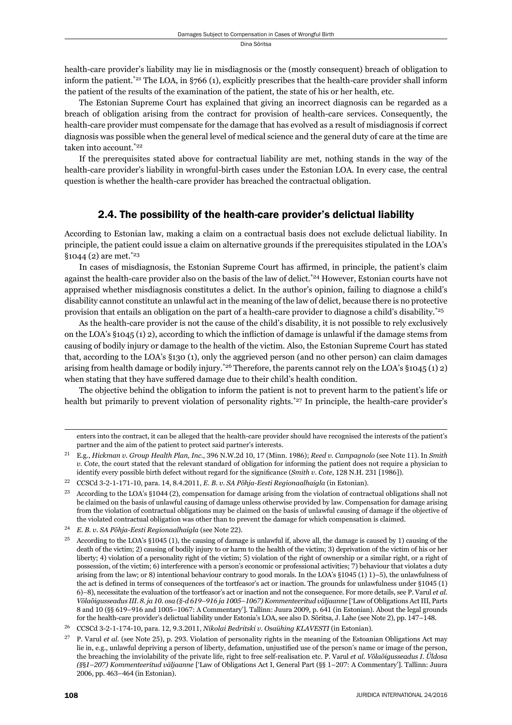health-care provider's liability may lie in misdiagnosis or the (mostly consequent) breach of obligation to inform the patient.\*21 The LOA, in §766 (1), explicitly prescribes that the health-care provider shall inform the patient of the results of the examination of the patient, the state of his or her health, etc.

The Estonian Supreme Court has explained that giving an incorrect diagnosis can be regarded as a breach of obligation arising from the contract for provision of health-care services. Consequently, the health-care provider must compensate for the damage that has evolved as a result of misdiagnosis if correct diagnosis was possible when the general level of medical science and the general duty of care at the time are taken into account.\*22

If the prerequisites stated above for contractual liability are met, nothing stands in the way of the health-care provider's liability in wrongful-birth cases under the Estonian LOA. In every case, the central question is whether the health-care provider has breached the contractual obligation.

## 2.4. The possibility of the health-care provider's delictual liability

According to Estonian law, making a claim on a contractual basis does not exclude delictual liability. In principle, the patient could issue a claim on alternative grounds if the prerequisites stipulated in the LOA's  $$1044$  (2) are met.<sup>\*23</sup>

In cases of misdiagnosis, the Estonian Supreme Court has affirmed, in principle, the patient's claim against the health-care provider also on the basis of the law of delict.<sup>\*24</sup> However, Estonian courts have not appraised whether misdiagnosis constitutes a delict. In the author's opinion, failing to diagnose a child's disability cannot constitute an unlawful act in the meaning of the law of delict, because there is no protective provision that entails an obligation on the part of a health-care provider to diagnose a child's disability.\*25

As the health-care provider is not the cause of the child's disability, it is not possible to rely exclusively on the LOA's  $§1045(1)2)$ , according to which the infliction of damage is unlawful if the damage stems from causing of bodily injury or damage to the health of the victim. Also, the Estonian Supreme Court has stated that, according to the LOA's §130 (1), only the aggrieved person (and no other person) can claim damages arising from health damage or bodily injury.\*26 Therefore, the parents cannot rely on the LOA's §1045 (1) 2) when stating that they have suffered damage due to their child's health condition.

The objective behind the obligation to inform the patient is not to prevent harm to the patient's life or health but primarily to prevent violation of personality rights.<sup>\*27</sup> In principle, the health-care provider's

enters into the contract, it can be alleged that the health-care provider should have recognised the interests of the patient's partner and the aim of the patient to protect said partner's interests.

<sup>&</sup>lt;sup>21</sup> E.g., *Hickman v. Group Health Plan, Inc., 396 N.W.2d 10, 17 (Minn. 1986); <i>Reed v. Campagnolo* (see Note 11). In *Smith v. Cote*, the court stated that the relevant standard of obligation for informing the patient does not require a physician to identify every possible birth defect without regard for the significance (*Smith v. Cote*, 128 N.H. 231 [1986]).

<sup>&</sup>lt;sup>22</sup> CCSCd 3-2-1-171-10, para. 14, 8.4.2011, *E. B. v. SA Põhja-Eesti Regionaalhaigla* (in Estonian).

According to the LOA's §1044 (2), compensation for damage arising from the violation of contractual obligations shall not be claimed on the basis of unlawful causing of damage unless otherwise provided by law. Compensation for damage arising from the violation of contractual obligations may be claimed on the basis of unlawful causing of damage if the objective of the violated contractual obligation was other than to prevent the damage for which compensation is claimed.

<sup>&</sup>lt;sup>24</sup> E. B. v. SA Põhja-Eesti Regionaalhaigla (see Note 22).

<sup>&</sup>lt;sup>25</sup> According to the LOA's §1045 (1), the causing of damage is unlawful if, above all, the damage is caused by 1) causing of the death of the victim; 2) causing of bodily injury to or harm to the health of the victim; 3) deprivation of the victim of his or her liberty; 4) violation of a personality right of the victim; 5) violation of the right of ownership or a similar right, or a right of possession, of the victim; 6) interference with a person's economic or professional activities;  $\bar{7}$ ) behaviour that violates a duty arising from the law; or 8) intentional behaviour contrary to good morals. In the LOA's  $\S1045$  (1) 1)–5), the unlawfulness of the act is defined in terms of consequences of the tortfeasor's act or inaction. The grounds for unlawfulness under §1045 (1) ɷ)–ɹ), necessitate the evaluation of the tortfeasor's act or inaction and not the consequence. For more details, see P. Varul *et al. Võlaõigusseadus III. ɹ. ja ɲɱ. osa (§-d ɷɲɺ–ɺɲɷ ja ɲɱɱɶ–ɲɱɷɸ) Kommenteeritud väljaanne* ['Law of Obligations Act III, Parts 8 and 10 (§§ 619–916 and 1005–1067: A Commentary']. Tallinn: Juura 2009, p. 641 (in Estonian). About the legal grounds for the health-care provider's delictual liability under Estonia's LOA, see also D. Sõritsa, J. Lahe (see Note 2), pp. 147–148.

<sup>&</sup>lt;sup>26</sup> CCSCd 3-2-1-174-10, para. 12, 9.3.2011, *Nikolai Bedritski v. Osaühing KLAVESTI* (in Estonian).

<sup>&</sup>lt;sup>27</sup> P. Varul *et al.* (see Note 25), p. 293. Violation of personality rights in the meaning of the Estoanian Obligations Act may lie in, e.g., unlawful depriving a person of liberty, defamation, unjustified use of the person's name or image of the person, the breaching the inviolability of the private life, right to free self-realisation etc. P. Varul *et al. Võlaõigusseadus I. Üldosa (§*§*ɲ–ɳɱɸ) Kommenteeritud väljaanne* ['Law of Obligations Act I, General Part (§§ ɲ–ɳɱɸ: A Commentary']. Tallinn: Juura 2006, pp. 463-464 (in Estonian).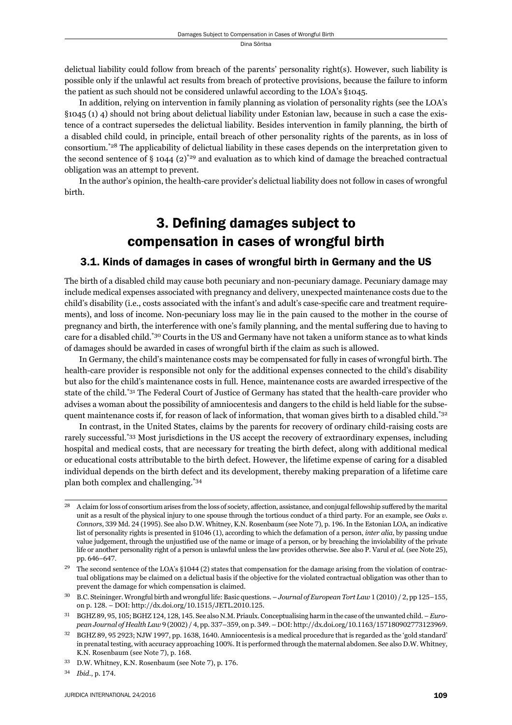delictual liability could follow from breach of the parents' personality right(s). However, such liability is possible only if the unlawful act results from breach of protective provisions, because the failure to inform the patient as such should not be considered unlawful according to the LOA's §1045.

In addition, relying on intervention in family planning as violation of personality rights (see the LOA's §1045 (1) 4) should not bring about delictual liability under Estonian law, because in such a case the existence of a contract supersedes the delictual liability. Besides intervention in family planning, the birth of a disabled child could, in principle, entail breach of other personality rights of the parents, as in loss of consortium.\*28 The applicability of delictual liability in these cases depends on the interpretation given to the second sentence of  $\S$  1044 (2)<sup>\*29</sup> and evaluation as to which kind of damage the breached contractual obligation was an attempt to prevent.

In the author's opinion, the health-care provider's delictual liability does not follow in cases of wrongful birth.

# 3. Defining damages subject to compensation in cases of wrongful birth

#### 3.1. Kinds of damages in cases of wrongful birth in Germany and the US

The birth of a disabled child may cause both pecuniary and non-pecuniary damage. Pecuniary damage may include medical expenses associated with pregnancy and delivery, unexpected maintenance costs due to the child's disability (i.e., costs associated with the infant's and adult's case-specific care and treatment requirements), and loss of income. Non-pecuniary loss may lie in the pain caused to the mother in the course of pregnancy and birth, the interference with one's family planning, and the mental suffering due to having to care for a disabled child.\*30 Courts in the US and Germany have not taken a uniform stance as to what kinds of damages should be awarded in cases of wrongful birth if the claim as such is allowed.

In Germany, the child's maintenance costs may be compensated for fully in cases of wrongful birth. The health-care provider is responsible not only for the additional expenses connected to the child's disability but also for the child's maintenance costs in full. Hence, maintenance costs are awarded irrespective of the state of the child.\*31 The Federal Court of Justice of Germany has stated that the health-care provider who advises a woman about the possibility of amniocentesis and dangers to the child is held liable for the subsequent maintenance costs if, for reason of lack of information, that woman gives birth to a disabled child.<sup>\*32</sup>

In contrast, in the United States, claims by the parents for recovery of ordinary child-raising costs are rarely successful.\*33 Most jurisdictions in the US accept the recovery of extraordinary expenses, including hospital and medical costs, that are necessary for treating the birth defect, along with additional medical or educational costs attributable to the birth defect. However, the lifetime expense of caring for a disabled individual depends on the birth defect and its development, thereby making preparation of a lifetime care plan both complex and challenging.\*34

A claim for loss of consortium arises from the loss of society, affection, assistance, and conjugal fellowship suffered by the marital unit as a result of the physical injury to one spouse through the tortious conduct of a third party. For an example, see *Oaks v. Connors*, 339 Md. 24 (1995). See also D.W. Whitney, K.N. Rosenbaum (see Note 7), p. 196. In the Estonian LOA, an indicative list of personality rights is presented in §1046 (1), according to which the defamation of a person, *inter alia*, by passing undue value judgement, through the unjustified use of the name or image of a person, or by breaching the inviolability of the private life or another personality right of a person is unlawful unless the law provides otherwise. See also P. Varul *et al.* (see Note 25), pp. 646-647.

<sup>&</sup>lt;sup>29</sup> The second sentence of the LOA's §1044 (2) states that compensation for the damage arising from the violation of contractual obligations may be claimed on a delictual basis if the objective for the violated contractual obligation was other than to prevent the damage for which compensation is claimed.

<sup>&</sup>lt;sup>30</sup> B.C. Steininger. Wrongful birth and wrongful life: Basic questions. – *Journal of European Tort Law* 1 (2010) / 2, pp 125–155, on p. 128. – DOI: http://dx.doi.org/10.1515/JETL.2010.125.

<sup>&</sup>lt;sup>31</sup> BGHZ 89, 95, 105; BGHZ 124, 128, 145. See also N.M. Priaulx. Conceptualising harm in the case of the unwanted child. – *European Journal of Health Law*  $9(2002) / 4$ , pp. 337-359, on p. 349. - DOI: http://dx.doi.org/10.1163/157180902773123969.

<sup>&</sup>lt;sup>32</sup> BGHZ 89, 95 2923; NJW 1997, pp. 1638, 1640. Amniocentesis is a medical procedure that is regarded as the 'gold standard' in prenatal testing, with accuracy approaching 100%. It is performed through the maternal abdomen. See also D.W. Whitney, K.N. Rosenbaum (see Note 7), p. 168.

<sup>&</sup>lt;sup>33</sup> D.W. Whitney, K.N. Rosenbaum (see Note 7), p. 176.

<sup>34</sup> *Ibid.*, p. 174.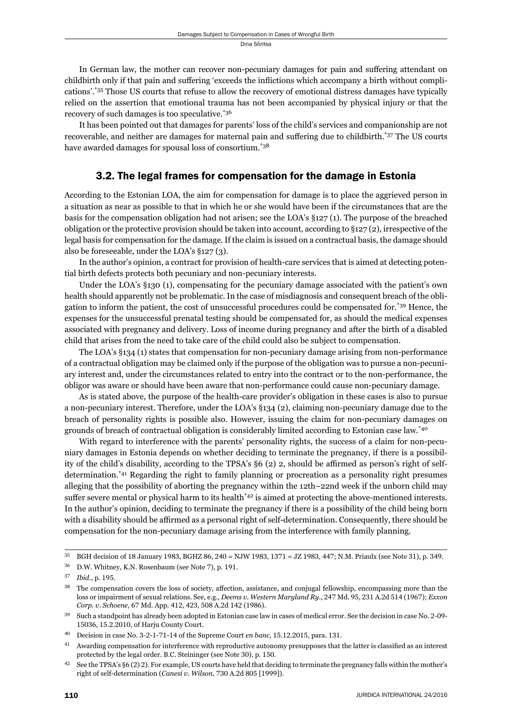In German law, the mother can recover non-pecuniary damages for pain and suffering attendant on childbirth only if that pain and suffering 'exceeds the inflictions which accompany a birth without complications'.\*35 Those US courts that refuse to allow the recovery of emotional distress damages have typically relied on the assertion that emotional trauma has not been accompanied by physical injury or that the recovery of such damages is too speculative.\*36

It has been pointed out that damages for parents' loss of the child's services and companionship are not recoverable, and neither are damages for maternal pain and suffering due to childbirth.\*37 The US courts have awarded damages for spousal loss of consortium.<sup>\*38</sup>

## 3.2. The legal frames for compensation for the damage in Estonia

According to the Estonian LOA, the aim for compensation for damage is to place the aggrieved person in a situation as near as possible to that in which he or she would have been if the circumstances that are the basis for the compensation obligation had not arisen; see the LOA's §127 (1). The purpose of the breached obligation or the protective provision should be taken into account, according to §127 (2), irrespective of the legal basis for compensation for the damage. If the claim is issued on a contractual basis, the damage should also be foreseeable, under the LOA's §127 (3).

In the author's opinion, a contract for provision of health-care services that is aimed at detecting potential birth defects protects both pecuniary and non-pecuniary interests.

Under the LOA's §130 (1), compensating for the pecuniary damage associated with the patient's own health should apparently not be problematic. In the case of misdiagnosis and consequent breach of the obligation to inform the patient, the cost of unsuccessful procedures could be compensated for.\*39 Hence, the expenses for the unsuccessful prenatal testing should be compensated for, as should the medical expenses associated with pregnancy and delivery. Loss of income during pregnancy and after the birth of a disabled child that arises from the need to take care of the child could also be subject to compensation.

The LOA's §134 (1) states that compensation for non-pecuniary damage arising from non-performance of a contractual obligation may be claimed only if the purpose of the obligation was to pursue a non-pecuniary interest and, under the circumstances related to entry into the contract or to the non-performance, the obligor was aware or should have been aware that non-performance could cause non-pecuniary damage.

As is stated above, the purpose of the health-care provider's obligation in these cases is also to pursue a non-pecuniary interest. Therefore, under the LOA's §134 (2), claiming non-pecuniary damage due to the breach of personality rights is possible also. However, issuing the claim for non-pecuniary damages on grounds of breach of contractual obligation is considerably limited according to Estonian case law.\*40

With regard to interference with the parents' personality rights, the success of a claim for non-pecuniary damages in Estonia depends on whether deciding to terminate the pregnancy, if there is a possibility of the child's disability, according to the TPSA's  $\S6$  (2) 2, should be affirmed as person's right of selfdetermination.\*41 Regarding the right to family planning or procreation as a personality right presumes alleging that the possibility of aborting the pregnancy within the 12th–22nd week if the unborn child may suffer severe mental or physical harm to its health<sup> $*42$ </sup> is aimed at protecting the above-mentioned interests. In the author's opinion, deciding to terminate the pregnancy if there is a possibility of the child being born with a disability should be affirmed as a personal right of self-determination. Consequently, there should be compensation for the non-pecuniary damage arising from the interference with family planning.

 $35$  BGH decision of 18 January 1983, BGHZ 86, 240 = NJW 1983, 1371 = JZ 1983, 447; N.M. Priaulx (see Note 31), p. 349.

<sup>&</sup>lt;sup>36</sup> D.W. Whitney, K.N. Rosenbaum (see Note 7), p. 191.

<sup>37</sup> *Ibid.*, p. 195.

<sup>&</sup>lt;sup>38</sup> The compensation covers the loss of society, affection, assistance, and conjugal fellowship, encompassing more than the loss or impairment of sexual relations. See, e.g., *Deems v. Western Maryland Ry.*, 247 Md. 95, 231 A.2d 514 (1967); *Exxon* Corp. v. Schoene, 67 Md. App. 412, 423, 508 A.2d 142 (1986).

<sup>&</sup>lt;sup>39</sup> Such a standpoint has already been adopted in Estonian case law in cases of medical error. See the decision in case No. 2-09-15036, 15.2.2010, of Harju County Court.

<sup>&</sup>lt;sup>40</sup> Decision in case No. 3-2-1-71-14 of the Supreme Court *en banc*, 15.12.2015, para. 131.

Awarding compensation for interference with reproductive autonomy presupposes that the latter is classified as an interest protected by the legal order. B.C. Steininger (see Note 30), p. 150.

<sup>&</sup>lt;sup>42</sup> See the TPSA's §6 (2) 2). For example, US courts have held that deciding to terminate the pregnancy falls within the mother's right of self-determination (*Canesi v. Wilson*, 730 A.2d 805 [1999]).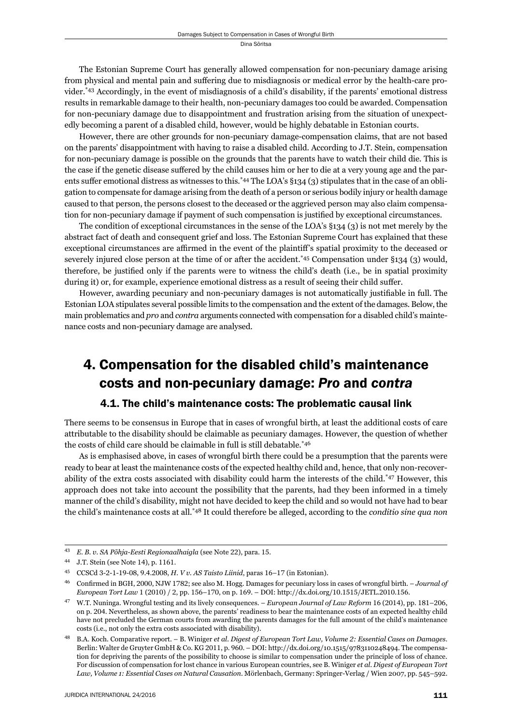The Estonian Supreme Court has generally allowed compensation for non-pecuniary damage arising from physical and mental pain and suffering due to misdiagnosis or medical error by the health-care provider.\*43 Accordingly, in the event of misdiagnosis of a child's disability, if the parents' emotional distress results in remarkable damage to their health, non-pecuniary damages too could be awarded. Compensation for non-pecuniary damage due to disappointment and frustration arising from the situation of unexpectedly becoming a parent of a disabled child, however, would be highly debatable in Estonian courts.

However, there are other grounds for non-pecuniary damage-compensation claims, that are not based on the parents' disappointment with having to raise a disabled child. According to J.T. Stein, compensation for non-pecuniary damage is possible on the grounds that the parents have to watch their child die. This is the case if the genetic disease suffered by the child causes him or her to die at a very young age and the parents suffer emotional distress as witnesses to this.<sup>\*44</sup> The LOA's §134 (3) stipulates that in the case of an obligation to compensate for damage arising from the death of a person or serious bodily injury or health damage caused to that person, the persons closest to the deceased or the aggrieved person may also claim compensation for non-pecuniary damage if payment of such compensation is justified by exceptional circumstances.

The condition of exceptional circumstances in the sense of the LOA's §134 (3) is not met merely by the abstract fact of death and consequent grief and loss. The Estonian Supreme Court has explained that these exceptional circumstances are affirmed in the event of the plaintiff's spatial proximity to the deceased or severely injured close person at the time of or after the accident.<sup>\*45</sup> Compensation under §134 (3) would, therefore, be justified only if the parents were to witness the child's death (i.e., be in spatial proximity during it) or, for example, experience emotional distress as a result of seeing their child suffer.

However, awarding pecuniary and non-pecuniary damages is not automatically justifiable in full. The Estonian LOA stipulates several possible limits to the compensation and the extent of the damages. Below, the main problematics and *pro* and *contra* arguments connected with compensation for a disabled child's maintenance costs and non-pecuniary damage are analysed.

# 4. Compensation for the disabled child's maintenance costs and non-pecuniary damage: *Pro* and *contra*

#### 4.1. The child's maintenance costs: The problematic causal link

There seems to be consensus in Europe that in cases of wrongful birth, at least the additional costs of care attributable to the disability should be claimable as pecuniary damages. However, the question of whether the costs of child care should be claimable in full is still debatable.\*46

As is emphasised above, in cases of wrongful birth there could be a presumption that the parents were ready to bear at least the maintenance costs of the expected healthy child and, hence, that only non-recoverability of the extra costs associated with disability could harm the interests of the child.\*47 However, this approach does not take into account the possibility that the parents, had they been informed in a timely manner of the child's disability, might not have decided to keep the child and so would not have had to bear the child's maintenance costs at all.\*48 It could therefore be alleged, according to the *conditio sine qua non*

<sup>&</sup>lt;sup>43</sup> *E. B. v. SA Põhja-Eesti Regionaalhaigla* (see Note 22), para. 15.

<sup>44</sup> J.T. Stein (see Note 14), p. 1161.

<sup>45</sup> CCSCd 3-2-1-19-08, 9.4.2008, *H. V v. AS Taisto Liinid*, paras 16-17 (in Estonian).

Confirmed in BGH, 2000, NJW 1782; see also M. Hogg. Damages for pecuniary loss in cases of wrongful birth. - *Journal of European Tort Law* 1 (2010) / 2, pp. 156–170, on p. 169. – DOI: http://dx.doi.org/10.1515/JETL.2010.156.

<sup>&</sup>lt;sup>47</sup> W.T. Nuninga. Wrongful testing and its lively consequences. – *European Journal of Law Reform* 16 (2014), pp. 181-206, on p. 204. Nevertheless, as shown above, the parents' readiness to bear the maintenance costs of an expected healthy child have not precluded the German courts from awarding the parents damages for the full amount of the child's maintenance costs (i.e., not only the extra costs associated with disability).

<sup>&</sup>lt;sup>48</sup> B.A. Koch. Comparative report. – B. Winiger *et al. Digest of European Tort Law, Volume 2: Essential Cases on Damages.* Berlin: Walter de Gruyter GmbH & Co. KG 2011, p. 960. – DOI: http://dx.doi.org/10.1515/9783110248494. The compensation for depriving the parents of the possibility to choose is similar to compensation under the principle of loss of chance. For discussion of compensation for lost chance in various European countries, see B. Winiger *et al. Digest of European Tort Law, Volume 1: Essential Cases on Natural Causation*. Mörlenbach, Germany: Springer-Verlag / Wien 2007, pp. 545–592.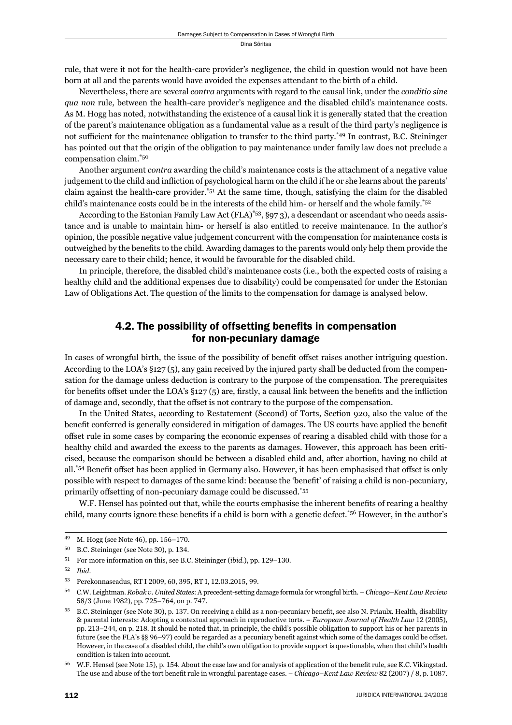rule, that were it not for the health-care provider's negligence, the child in question would not have been born at all and the parents would have avoided the expenses attendant to the birth of a child.

Nevertheless, there are several *contra* arguments with regard to the causal link, under the *conditio sine qua non* rule, between the health-care provider's negligence and the disabled child's maintenance costs. As M. Hogg has noted, notwithstanding the existence of a causal link it is generally stated that the creation of the parent's maintenance obligation as a fundamental value as a result of the third party's negligence is not sufficient for the maintenance obligation to transfer to the third party.<sup>\*49</sup> In contrast, B.C. Steininger has pointed out that the origin of the obligation to pay maintenance under family law does not preclude a compensation claim.\*50

Another argument *contra* awarding the child's maintenance costs is the attachment of a negative value judgement to the child and infliction of psychological harm on the child if he or she learns about the parents' claim against the health-care provider.\*51 At the same time, though, satisfying the claim for the disabled child's maintenance costs could be in the interests of the child him- or herself and the whole family.\*52

According to the Estonian Family Law Act (FLA)<sup>\*53</sup>, §97 3), a descendant or ascendant who needs assistance and is unable to maintain him- or herself is also entitled to receive maintenance. In the author's opinion, the possible negative value judgement concurrent with the compensation for maintenance costs is outweighed by the benefits to the child. Awarding damages to the parents would only help them provide the necessary care to their child; hence, it would be favourable for the disabled child.

In principle, therefore, the disabled child's maintenance costs (i.e., both the expected costs of raising a healthy child and the additional expenses due to disability) could be compensated for under the Estonian Law of Obligations Act. The question of the limits to the compensation for damage is analysed below.

## 4.2. The possibility of offsetting benefits in compensation for non-pecuniary damage

In cases of wrongful birth, the issue of the possibility of benefit offset raises another intriguing question. According to the LOA's §127 (5), any gain received by the injured party shall be deducted from the compensation for the damage unless deduction is contrary to the purpose of the compensation. The prerequisites for benefits offset under the LOA's  $\S 127$  (5) are, firstly, a causal link between the benefits and the infliction of damage and, secondly, that the offset is not contrary to the purpose of the compensation.

In the United States, according to Restatement (Second) of Torts, Section 920, also the value of the benefit conferred is generally considered in mitigation of damages. The US courts have applied the benefit off set rule in some cases by comparing the economic expenses of rearing a disabled child with those for a healthy child and awarded the excess to the parents as damages. However, this approach has been criticised, because the comparison should be between a disabled child and, after abortion, having no child at all.<sup>\*54</sup> Benefit offset has been applied in Germany also. However, it has been emphasised that offset is only possible with respect to damages of the same kind: because the 'benefit' of raising a child is non-pecuniary, primarily offsetting of non-pecuniary damage could be discussed.\*55

W.F. Hensel has pointed out that, while the courts emphasise the inherent benefits of rearing a healthy child, many courts ignore these benefits if a child is born with a genetic defect.<sup>\*56</sup> However, in the author's

<sup>&</sup>lt;sup>49</sup> M. Hogg (see Note 46), pp. 156-170.

<sup>&</sup>lt;sup>50</sup> B.C. Steininger (see Note 30), p. 134.

<sup>51</sup> For more information on this, see B.C. Steininger (*ibid.*), pp. 129–130.

ɶɳ *Ibid*.

<sup>53</sup> Perekonnaseadus, RT I 2009, 60, 395, RT I, 12.03.2015, 99.

ɶɵ C.W. Leightman. *Robak v. United States*: A precedent-setting damage formula for wrongful birth. – *Chicago–Kent Law Review* 58/3 (June 1982), pp. 725-764, on p. 747.

<sup>&</sup>lt;sup>55</sup> B.C. Steininger (see Note 30), p. 137. On receiving a child as a non-pecuniary benefit, see also N. Priaulx. Health, disability & parental interests: Adopting a contextual approach in reproductive torts. – *European Journal of Health Law* 12 (2005), pp. 213–244, on p. 218. It should be noted that, in principle, the child's possible obligation to support his or her parents in future (see the FLA's §§ 96–97) could be regarded as a pecuniary benefit against which some of the damages could be offset. However, in the case of a disabled child, the child's own obligation to provide support is questionable, when that child's health condition is taken into account.

<sup>&</sup>lt;sup>56</sup> W.F. Hensel (see Note 15), p. 154. About the case law and for analysis of application of the benefit rule, see K.C. Vikingstad. The use and abuse of the tort benefit rule in wrongful parentage cases. – *Chicago–Kent Law Review* 82 (2007) / 8, p. 1087.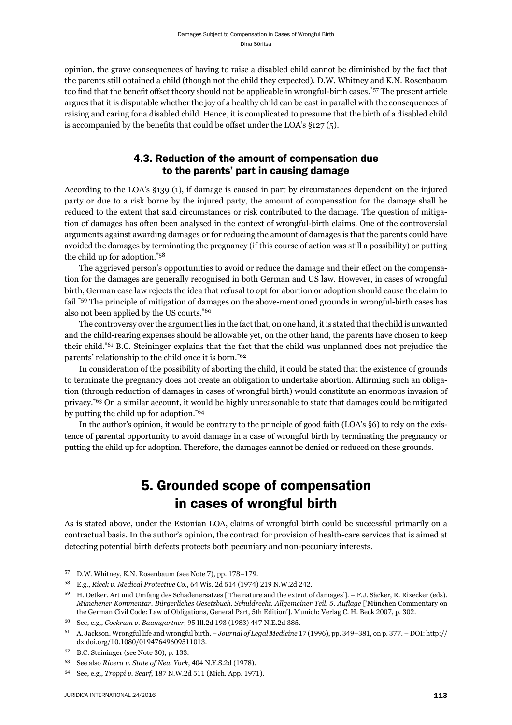opinion, the grave consequences of having to raise a disabled child cannot be diminished by the fact that the parents still obtained a child (though not the child they expected). D.W. Whitney and K.N. Rosenbaum too find that the benefit offset theory should not be applicable in wrongful-birth cases.<sup>\*57</sup> The present article argues that it is disputable whether the joy of a healthy child can be cast in parallel with the consequences of raising and caring for a disabled child. Hence, it is complicated to presume that the birth of a disabled child is accompanied by the benefits that could be offset under the LOA's  $\S$ 127(5).

## 4.3. Reduction of the amount of compensation due to the parents' part in causing damage

According to the LOA's §139 (1), if damage is caused in part by circumstances dependent on the injured party or due to a risk borne by the injured party, the amount of compensation for the damage shall be reduced to the extent that said circumstances or risk contributed to the damage. The question of mitigation of damages has often been analysed in the context of wrongful-birth claims. One of the controversial arguments against awarding damages or for reducing the amount of damages is that the parents could have avoided the damages by terminating the pregnancy (if this course of action was still a possibility) or putting the child up for adoption.\*58

The aggrieved person's opportunities to avoid or reduce the damage and their effect on the compensation for the damages are generally recognised in both German and US law. However, in cases of wrongful birth, German case law rejects the idea that refusal to opt for abortion or adoption should cause the claim to fail.\*59 The principle of mitigation of damages on the above-mentioned grounds in wrongful-birth cases has also not been applied by the US courts.\*60

The controversy over the argument lies in the fact that, on one hand, it is stated that the child is unwanted and the child-rearing expenses should be allowable yet, on the other hand, the parents have chosen to keep their child.\*61 B.C. Steininger explains that the fact that the child was unplanned does not prejudice the parents' relationship to the child once it is born.\*62

In consideration of the possibility of aborting the child, it could be stated that the existence of grounds to terminate the pregnancy does not create an obligation to undertake abortion. Affirming such an obligation (through reduction of damages in cases of wrongful birth) would constitute an enormous invasion of privacy.\*63 On a similar account, it would be highly unreasonable to state that damages could be mitigated by putting the child up for adoption.\*64

In the author's opinion, it would be contrary to the principle of good faith (LOA's §6) to rely on the existence of parental opportunity to avoid damage in a case of wrongful birth by terminating the pregnancy or putting the child up for adoption. Therefore, the damages cannot be denied or reduced on these grounds.

# 5. Grounded scope of compensation in cases of wrongful birth

As is stated above, under the Estonian LOA, claims of wrongful birth could be successful primarily on a contractual basis. In the author's opinion, the contract for provision of health-care services that is aimed at detecting potential birth defects protects both pecuniary and non-pecuniary interests.

 $57$  D.W. Whitney, K.N. Rosenbaum (see Note 7), pp. 178–179.

<sup>58</sup> E.g., *Rieck v. Medical Protective Co.*, 64 Wis. 2d 514 (1974) 219 N.W.2d 242.

<sup>&</sup>lt;sup>59</sup> H. Oetker. Art und Umfang des Schadenersatzes ['The nature and the extent of damages']. – F.J. Säcker, R. Rixecker (eds). *Münchener Kommentar. Bürgerliches Gesetzbuch. Schuldrecht. Allgemeiner Teil. 5. Auflage* ['München Commentary on the German Civil Code: Law of Obligations, General Part, 5th Edition']. Munich: Verlag C. H. Beck 2007, p. 302.

<sup>60</sup> See, e.g., *Cockrum v. Baumgartner*, 95 Ill.2d 193 (1983) 447 N.E.2d 385.

<sup>&</sup>lt;sup>61</sup> A. Jackson. Wrongful life and wrongful birth. – *Journal of Legal Medicine* 17 (1996), pp. 349–381, on p. 377. – DOI: http:// dx.doi.org/10.1080/01947649609511013.

<sup>&</sup>lt;sup>62</sup> B.C. Steininger (see Note 30), p. 133.

<sup>&</sup>lt;sup>63</sup> See also *Rivera v. State of New York*, 404 N.Y.S.2d (1978).

<sup>64</sup> See, e.g., *Troppi v. Scarf*, 187 N.W.2d 511 (Mich. App. 1971).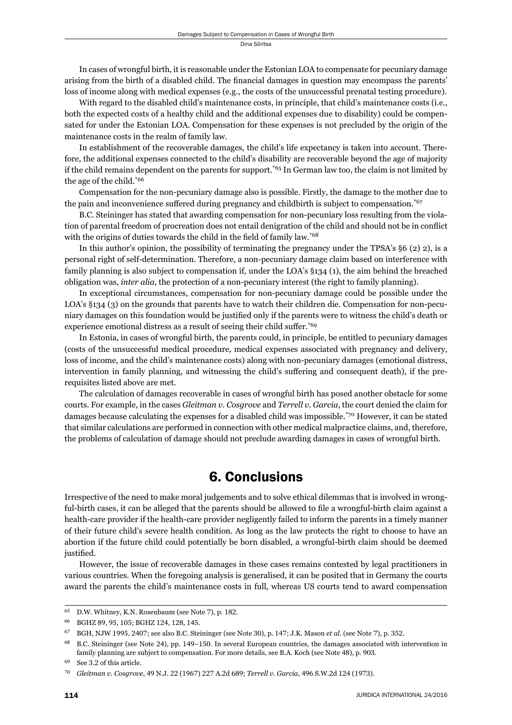In cases of wrongful birth, it is reasonable under the Estonian LOA to compensate for pecuniary damage arising from the birth of a disabled child. The financial damages in question may encompass the parents' loss of income along with medical expenses (e.g., the costs of the unsuccessful prenatal testing procedure).

With regard to the disabled child's maintenance costs, in principle, that child's maintenance costs (i.e., both the expected costs of a healthy child and the additional expenses due to disability) could be compensated for under the Estonian LOA. Compensation for these expenses is not precluded by the origin of the maintenance costs in the realm of family law.

In establishment of the recoverable damages, the child's life expectancy is taken into account. Therefore, the additional expenses connected to the child's disability are recoverable beyond the age of majority if the child remains dependent on the parents for support.<sup> $*65$ </sup> In German law too, the claim is not limited by the age of the child.\*66

Compensation for the non-pecuniary damage also is possible. Firstly, the damage to the mother due to the pain and inconvenience suffered during pregnancy and childbirth is subject to compensation.<sup>\*67</sup>

B.C. Steininger has stated that awarding compensation for non-pecuniary loss resulting from the violation of parental freedom of procreation does not entail denigration of the child and should not be in conflict with the origins of duties towards the child in the field of family law.<sup>\*68</sup>

In this author's opinion, the possibility of terminating the pregnancy under the TPSA's  $\S6$  (2) 2), is a personal right of self-determination. Therefore, a non-pecuniary damage claim based on interference with family planning is also subject to compensation if, under the LOA's §134 (1), the aim behind the breached obligation was, *inter alia*, the protection of a non-pecuniary interest (the right to family planning).

In exceptional circumstances, compensation for non-pecuniary damage could be possible under the LOA's §134 (3) on the grounds that parents have to watch their children die. Compensation for non-pecuniary damages on this foundation would be justified only if the parents were to witness the child's death or experience emotional distress as a result of seeing their child suffer.<sup>\*69</sup>

In Estonia, in cases of wrongful birth, the parents could, in principle, be entitled to pecuniary damages (costs of the unsuccessful medical procedure, medical expenses associated with pregnancy and delivery, loss of income, and the child's maintenance costs) along with non-pecuniary damages (emotional distress, intervention in family planning, and witnessing the child's suffering and consequent death), if the prerequisites listed above are met.

The calculation of damages recoverable in cases of wrongful birth has posed another obstacle for some courts. For example, in the cases *Gleitman v. Cosgrove* and *Terrell v. Garcia*, the court denied the claim for damages because calculating the expenses for a disabled child was impossible.\*70 However, it can be stated that similar calculations are performed in connection with other medical malpractice claims, and, therefore, the problems of calculation of damage should not preclude awarding damages in cases of wrongful birth.

# 6. Conclusions

Irrespective of the need to make moral judgements and to solve ethical dilemmas that is involved in wrongful-birth cases, it can be alleged that the parents should be allowed to file a wrongful-birth claim against a health-care provider if the health-care provider negligently failed to inform the parents in a timely manner of their future child's severe health condition. As long as the law protects the right to choose to have an abortion if the future child could potentially be born disabled, a wrongful-birth claim should be deemed justified.

However, the issue of recoverable damages in these cases remains contested by legal practitioners in various countries. When the foregoing analysis is generalised, it can be posited that in Germany the courts award the parents the child's maintenance costs in full, whereas US courts tend to award compensation

<sup>&</sup>lt;sup>65</sup> D.W. Whitney, K.N. Rosenbaum (see Note 7), p. 182.

<sup>66</sup> BGHZ 89, 95, 105; BGHZ 124, 128, 145.

 $^{67}$  BGH, NJW 1995, 2407; see also B.C. Steininger (see Note 30), p. 147; J.K. Mason *et al.* (see Note 7), p. 352.

<sup>&</sup>lt;sup>68</sup> B.C. Steininger (see Note 24), pp. 149-150. In several European countries, the damages associated with intervention in family planning are subject to compensation. For more details, see B.A. Koch (see Note 48), p. 903.

See 3.2 of this article.

<sup>70</sup> Gleitman v. Cosgrove, 49 N.J. 22 (1967) 227 A.2d 689; Terrell v. Garcia, 496 S.W.2d 124 (1973).